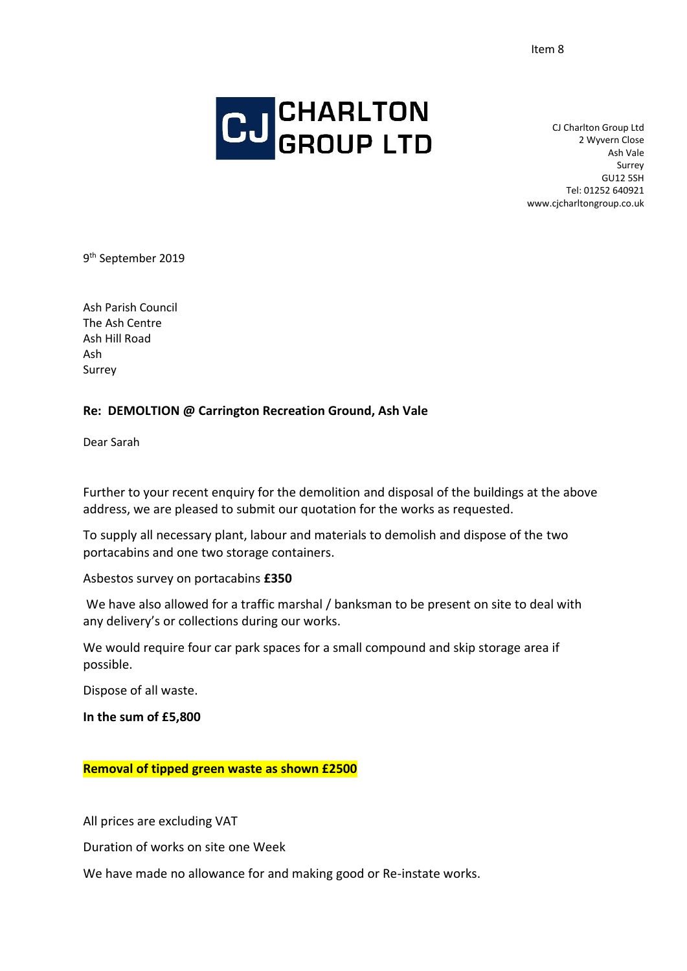

CJ Charlton Group Ltd 2 Wyvern Close Ash Vale Surrey GU12 5SH Tel: 01252 640921 www.cjcharltongroup.co.uk

9<sup>th</sup> September 2019

Ash Parish Council The Ash Centre Ash Hill Road Ash Surrey

## **Re: DEMOLTION @ Carrington Recreation Ground, Ash Vale**

Dear Sarah

Further to your recent enquiry for the demolition and disposal of the buildings at the above address, we are pleased to submit our quotation for the works as requested.

To supply all necessary plant, labour and materials to demolish and dispose of the two portacabins and one two storage containers.

Asbestos survey on portacabins **£350**

We have also allowed for a traffic marshal / banksman to be present on site to deal with any delivery's or collections during our works.

We would require four car park spaces for a small compound and skip storage area if possible.

Dispose of all waste.

**In the sum of £5,800**

**Removal of tipped green waste as shown £2500**

All prices are excluding VAT

Duration of works on site one Week

We have made no allowance for and making good or Re-instate works.